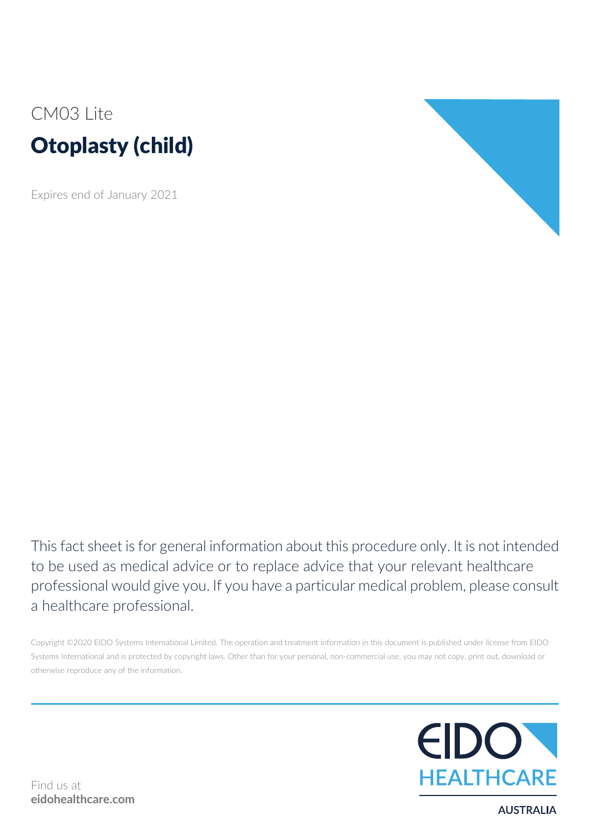# CM03 Lite Otoplasty (child)

Expires end of January 2021



This fact sheet is for general information about this procedure only. It is not intended to be used as medical advice or to replace advice that your relevant healthcare professional would give you. If you have a particular medical problem, please consult a healthcare professional.

Copyright ©2020 EIDO Systems International Limited. The operation and treatment information in this document is published under license from EIDO Systems International and is protected by copyright laws. Other than for your personal, non-commercial use, you may not copy, print out, download or otherwise reproduce any of the information.



**AUSTRALIA**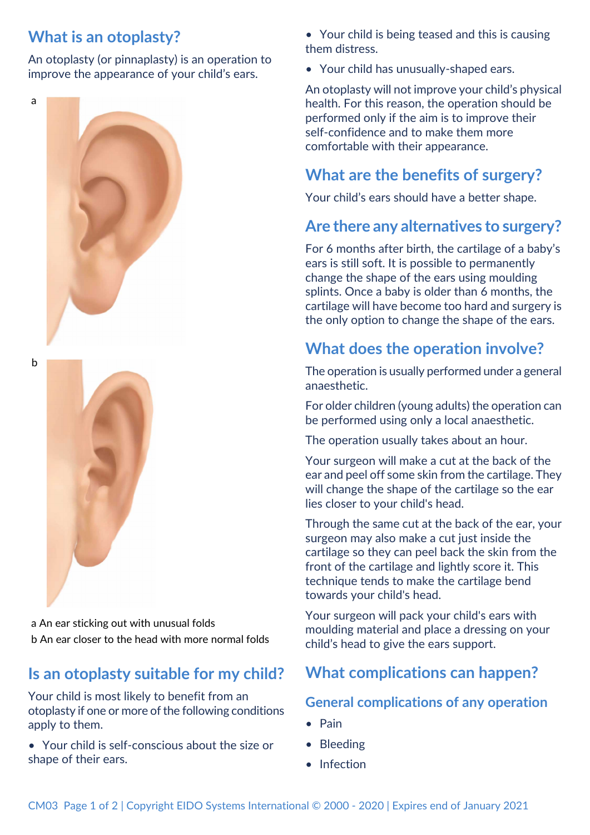### **What is an otoplasty?**

An otoplasty (or pinnaplasty) is an operation to improve the appearance of your child's ears.

a





a An ear sticking out with unusual folds b An ear closer to the head with more normal folds

### **Is an otoplasty suitable for my child?**

Your child is most likely to benefit from an otoplasty if one or more of the following conditions apply to them.

• Your child is self-conscious about the size or shape of their ears.

• Your child is being teased and this is causing them distress.

• Your child has unusually-shaped ears.

An otoplasty will not improve your child's physical health. For this reason, the operation should be performed only if the aim is to improve their self-confidence and to make them more comfortable with their appearance.

## **What are the benefits of surgery?**

Your child's ears should have a better shape.

#### **Are there any alternatives to surgery?**

For 6 months after birth, the cartilage of a baby's ears is still soft. It is possible to permanently change the shape of the ears using moulding splints. Once a baby is older than 6 months, the cartilage will have become too hard and surgery is the only option to change the shape of the ears.

### **What does the operation involve?**

The operation is usually performed under a general anaesthetic.

For older children (young adults) the operation can be performed using only a local anaesthetic.

The operation usually takes about an hour.

Your surgeon will make a cut at the back of the ear and peel off some skin from the cartilage. They will change the shape of the cartilage so the ear lies closer to your child's head.

Through the same cut at the back of the ear, your surgeon may also make a cut just inside the cartilage so they can peel back the skin from the front of the cartilage and lightly score it. This technique tends to make the cartilage bend towards your child's head.

Your surgeon will pack your child's ears with moulding material and place a dressing on your child's head to give the ears support.

## **What complications can happen?**

#### **General complications of any operation**

- Pain
- Bleeding
- Infection